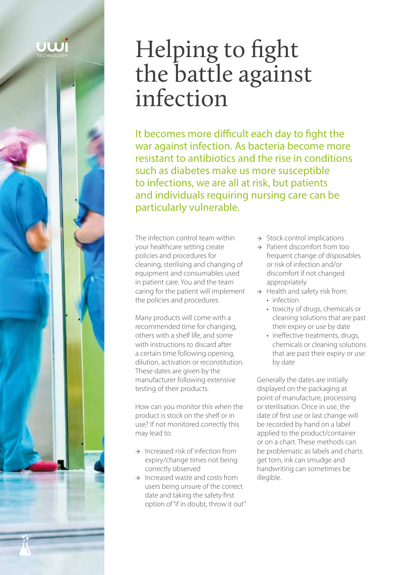# Helping to fight the battle against infection

It becomes more difficult each day to fight the war against infection. As bacteria become more resistant to antibiotics and the rise in conditions such as diabetes make us more susceptible to infections, we are all at risk, but patients and individuals requiring nursing care can be particularly vulnerable.

The infection control team within your healthcare setting create policies and procedures for cleaning, sterilising and changing of equipment and consumables used in patient care. You and the team caring for the patient will implement the policies and procedures.

Many products will come with a recommended time for changing, others with a shelf life, and some with instructions to discard after a certain time following opening, dilution, activation or reconstitution. These dates are given by the manufacturer following extensive testing of their products.

How can you monitor this when the product is stock on the shelf or in use? If not monitored correctly this may lead to:

- $\rightarrow$  Increased risk of infection from expiry/change times not being correctly observed
- $\rightarrow$  Increased waste and costs from users being unsure of the correct date and taking the safety first option of "if in doubt, throw it out"
- → Stock control implications
- → Patient discomfort from too frequent change of disposables or risk of infection and/or discomfort if not changed appropriately
- $\rightarrow$  Health and safety risk from: • infection
	- toxicity of drugs, chemicals or cleaning solutions that are past their expiry or use by date
	- ineffective treatments, drugs, chemicals or cleaning solutions that are past their expiry or use by date

Generally the dates are initially displayed on the packaging at point of manufacture, processing or sterilisation. Once in use, the date of first use or last change will be recorded by hand on a label applied to the product/container or on a chart. These methods can be problematic as labels and charts get torn, ink can smudge and handwriting can sometimes be illegible.